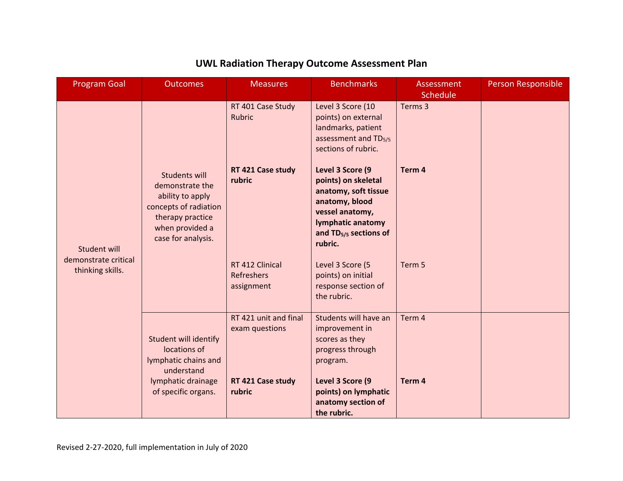| <b>Program Goal</b>                                      | <b>Outcomes</b>                                                                                                                                   | <b>Measures</b>                                    | <b>Benchmarks</b>                                                                                                                                                         | <b>Assessment</b><br>Schedule | <b>Person Responsible</b> |
|----------------------------------------------------------|---------------------------------------------------------------------------------------------------------------------------------------------------|----------------------------------------------------|---------------------------------------------------------------------------------------------------------------------------------------------------------------------------|-------------------------------|---------------------------|
| Student will<br>demonstrate critical<br>thinking skills. |                                                                                                                                                   | RT 401 Case Study<br>Rubric                        | Level 3 Score (10<br>points) on external<br>landmarks, patient<br>assessment and TD <sub>5/5</sub><br>sections of rubric.                                                 | Terms 3                       |                           |
|                                                          | <b>Students will</b><br>demonstrate the<br>ability to apply<br>concepts of radiation<br>therapy practice<br>when provided a<br>case for analysis. | RT 421 Case study<br>rubric                        | Level 3 Score (9<br>points) on skeletal<br>anatomy, soft tissue<br>anatomy, blood<br>vessel anatomy,<br>lymphatic anatomy<br>and TD <sub>5/5</sub> sections of<br>rubric. | Term <sub>4</sub>             |                           |
|                                                          |                                                                                                                                                   | RT 412 Clinical<br><b>Refreshers</b><br>assignment | Level 3 Score (5<br>points) on initial<br>response section of<br>the rubric.                                                                                              | Term 5                        |                           |
|                                                          | <b>Student will identify</b><br>locations of<br>lymphatic chains and<br>understand                                                                | RT 421 unit and final<br>exam questions            | Students will have an<br>improvement in<br>scores as they<br>progress through<br>program.                                                                                 | Term 4                        |                           |
|                                                          | lymphatic drainage<br>of specific organs.                                                                                                         | RT 421 Case study<br>rubric                        | Level 3 Score (9<br>points) on lymphatic<br>anatomy section of<br>the rubric.                                                                                             | Term 4                        |                           |

## **UWL Radiation Therapy Outcome Assessment Plan**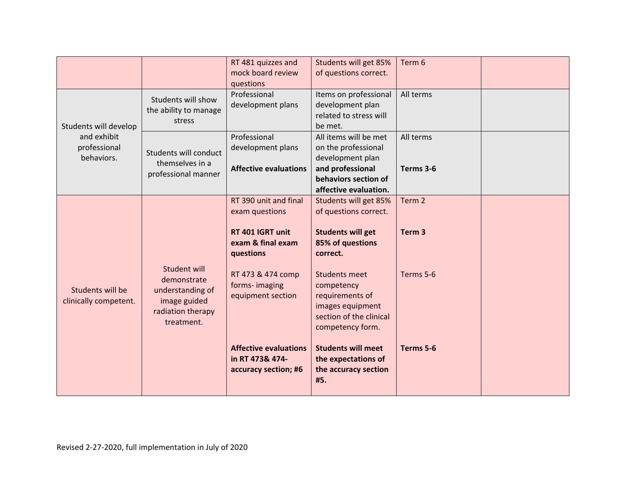|                                           |                                                                                                    | RT 481 quizzes and           | Students will get 85%     | Term 6            |  |
|-------------------------------------------|----------------------------------------------------------------------------------------------------|------------------------------|---------------------------|-------------------|--|
|                                           |                                                                                                    | mock board review            | of questions correct.     |                   |  |
|                                           |                                                                                                    | questions                    |                           |                   |  |
|                                           | Students will show<br>the ability to manage<br>stress                                              | Professional                 | Items on professional     | All terms         |  |
|                                           |                                                                                                    | development plans            | development plan          |                   |  |
|                                           |                                                                                                    |                              | related to stress will    |                   |  |
| Students will develop                     |                                                                                                    |                              | be met.                   |                   |  |
| and exhibit                               |                                                                                                    | Professional                 | All items will be met     | All terms         |  |
| professional                              |                                                                                                    | development plans            | on the professional       |                   |  |
| behaviors.                                | Students will conduct                                                                              |                              | development plan          |                   |  |
|                                           | themselves in a<br>professional manner                                                             | <b>Affective evaluations</b> | and professional          | Terms 3-6         |  |
|                                           |                                                                                                    |                              | behaviors section of      |                   |  |
|                                           |                                                                                                    |                              | affective evaluation.     |                   |  |
|                                           |                                                                                                    | RT 390 unit and final        | Students will get 85%     | Term 2            |  |
|                                           |                                                                                                    | exam questions               | of questions correct.     |                   |  |
|                                           |                                                                                                    |                              |                           |                   |  |
|                                           | Student will<br>demonstrate<br>understanding of<br>image guided<br>radiation therapy<br>treatment. | RT 401 IGRT unit             | <b>Students will get</b>  | Term <sub>3</sub> |  |
|                                           |                                                                                                    | exam & final exam            | 85% of questions          |                   |  |
|                                           |                                                                                                    | questions                    | correct.                  |                   |  |
|                                           |                                                                                                    |                              |                           |                   |  |
|                                           |                                                                                                    | RT 473 & 474 comp            | <b>Students meet</b>      | Terms 5-6         |  |
|                                           |                                                                                                    | forms-imaging                | competency                |                   |  |
| Students will be<br>clinically competent. |                                                                                                    | equipment section            | requirements of           |                   |  |
|                                           |                                                                                                    |                              | images equipment          |                   |  |
|                                           |                                                                                                    |                              | section of the clinical   |                   |  |
|                                           |                                                                                                    |                              | competency form.          |                   |  |
|                                           |                                                                                                    |                              |                           |                   |  |
|                                           |                                                                                                    | <b>Affective evaluations</b> | <b>Students will meet</b> | Terms 5-6         |  |
|                                           |                                                                                                    | in RT 473& 474-              | the expectations of       |                   |  |
|                                           |                                                                                                    | accuracy section; #6         | the accuracy section      |                   |  |
|                                           |                                                                                                    |                              | #5.                       |                   |  |
|                                           |                                                                                                    |                              |                           |                   |  |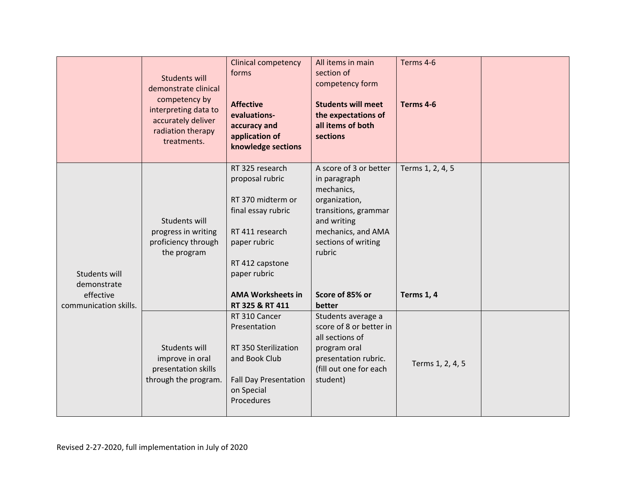|                                                                    | <b>Students will</b><br>demonstrate clinical<br>competency by<br>interpreting data to<br>accurately deliver<br>radiation therapy<br>treatments. | <b>Clinical competency</b><br>forms<br><b>Affective</b><br>evaluations-<br>accuracy and<br>application of<br>knowledge sections                                                                    | All items in main<br>section of<br>competency form<br><b>Students will meet</b><br>the expectations of<br>all items of both<br>sections                                                          | Terms 4-6<br>Terms 4-6                |  |
|--------------------------------------------------------------------|-------------------------------------------------------------------------------------------------------------------------------------------------|----------------------------------------------------------------------------------------------------------------------------------------------------------------------------------------------------|--------------------------------------------------------------------------------------------------------------------------------------------------------------------------------------------------|---------------------------------------|--|
| Students will<br>demonstrate<br>effective<br>communication skills. | Students will<br>progress in writing<br>proficiency through<br>the program                                                                      | RT 325 research<br>proposal rubric<br>RT 370 midterm or<br>final essay rubric<br>RT 411 research<br>paper rubric<br>RT 412 capstone<br>paper rubric<br><b>AMA Worksheets in</b><br>RT 325 & RT 411 | A score of 3 or better<br>in paragraph<br>mechanics,<br>organization,<br>transitions, grammar<br>and writing<br>mechanics, and AMA<br>sections of writing<br>rubric<br>Score of 85% or<br>better | Terms 1, 2, 4, 5<br><b>Terms 1, 4</b> |  |
|                                                                    | Students will<br>improve in oral<br>presentation skills<br>through the program.                                                                 | RT 310 Cancer<br>Presentation<br>RT 350 Sterilization<br>and Book Club<br><b>Fall Day Presentation</b><br>on Special<br>Procedures                                                                 | Students average a<br>score of 8 or better in<br>all sections of<br>program oral<br>presentation rubric.<br>(fill out one for each<br>student)                                                   | Terms 1, 2, 4, 5                      |  |